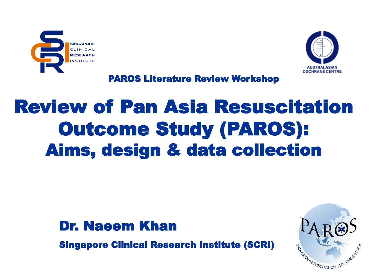



PAROS Literature Review Workshop

# Review of Pan Asia Resuscitation Outcome Study (PAROS): Aims, design & data collection

#### Dr. Naeem Khan

Singapore Clinical Research Institute (SCRI)

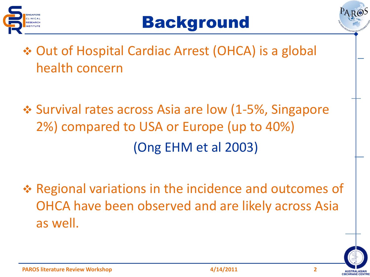





- ◆ Out of Hospital Cardiac Arrest (OHCA) is a global health concern
- $\div$  **Survival rates across Asia are low (1-5%, Singapore** 2%) compared to USA or Europe (up to 40%) (Ong EHM et al 2003)
- **Example 13 Propelity Propelity Propelity Propelity Propelity Propelity Propelity Propelity Propelity Propelity Propelity Propelity Propelity Propelity Propelity Propelity Propelity Propelity Propelity Propelity Propelity** OHCA have been observed and are likely across Asia as well.

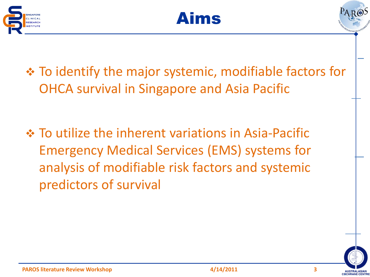





 To identify the major systemic, modifiable factors for OHCA survival in Singapore and Asia Pacific

 To utilize the inherent variations in Asia-Pacific Emergency Medical Services (EMS) systems for analysis of modifiable risk factors and systemic predictors of survival

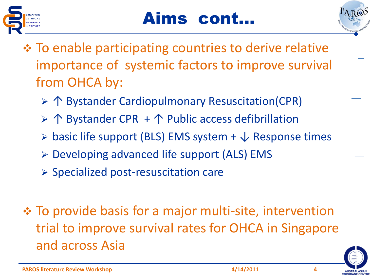



- To enable participating countries to derive relative importance of systemic factors to improve survival from OHCA by:
	- ↑ Bystander Cardiopulmonary Resuscitation(CPR)
	- ↑ Bystander CPR + ↑ Public access defibrillation
	- $\triangleright$  basic life support (BLS) EMS system +  $\downarrow$  Response times
	- Developing advanced life support (ALS) EMS
	- $\triangleright$  Specialized post-resuscitation care
- To provide basis for a major multi-site, intervention trial to improve survival rates for OHCA in Singapore and across Asia

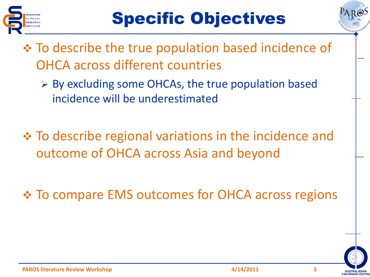



- **Ex** To describe the true population based incidence of OHCA across different countries
	- $\triangleright$  By excluding some OHCAs, the true population based incidence will be underestimated
- To describe regional variations in the incidence and outcome of OHCA across Asia and beyond
- To compare EMS outcomes for OHCA across regions

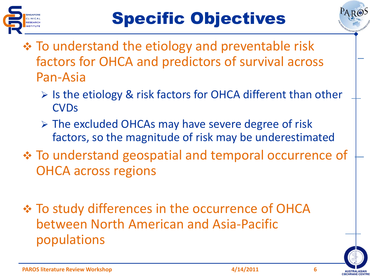



- **\* To understand the etiology and preventable risk** factors for OHCA and predictors of survival across Pan-Asia
	- $\triangleright$  Is the etiology & risk factors for OHCA different than other **CVDs**
	- $\triangleright$  The excluded OHCAs may have severe degree of risk factors, so the magnitude of risk may be underestimated
- To understand geospatial and temporal occurrence of OHCA across regions
- $\div$  **To study differences in the occurrence of OHCA** between North American and Asia-Pacific populations

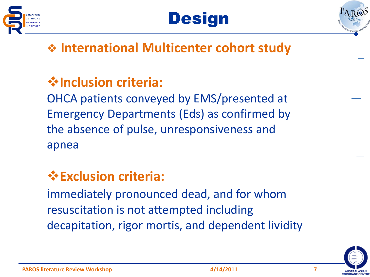





## **International Multicenter cohort study**

# **Inclusion criteria:**

OHCA patients conveyed by EMS/presented at Emergency Departments (Eds) as confirmed by the absence of pulse, unresponsiveness and apnea

## **Exclusion criteria:**

immediately pronounced dead, and for whom resuscitation is not attempted including decapitation, rigor mortis, and dependent lividity

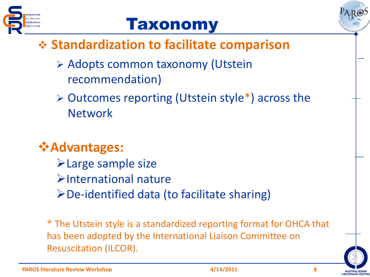



## **Standardization to facilitate comparison**

- Adopts common taxonomy (Utstein recommendation)
- $\triangleright$  Outcomes reporting (Utstein style\*) across the **Network**

# **Advantages:**

- Large sample size
- International nature
- $\triangleright$  De-identified data (to facilitate sharing)

\* The Utstein style is a standardized reporting format for OHCA that has been adopted by the International Liaison Committee on Resuscitation (ILCOR).

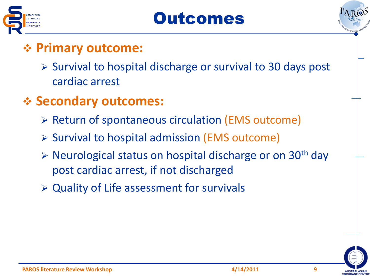





### **Primary outcome:**

- $\triangleright$  Survival to hospital discharge or survival to 30 days post cardiac arrest
- **Secondary outcomes:**
	- $\triangleright$  Return of spontaneous circulation (EMS outcome)
	- $\triangleright$  Survival to hospital admission (EMS outcome)
	- $\triangleright$  Neurological status on hospital discharge or on 30<sup>th</sup> day post cardiac arrest, if not discharged
	- Quality of Life assessment for survivals

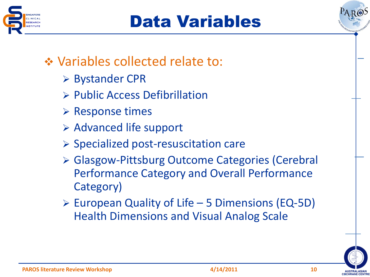



## **❖ Variables collected relate to:**

- **► Bystander CPR**
- $\triangleright$  Public Access Defibrillation
- $\triangleright$  Response times
- $\triangleright$  Advanced life support
- $\triangleright$  Specialized post-resuscitation care
- Glasgow-Pittsburg Outcome Categories (Cerebral Performance Category and Overall Performance Category)
- $\triangleright$  European Quality of Life 5 Dimensions (EQ-5D) Health Dimensions and Visual Analog Scale

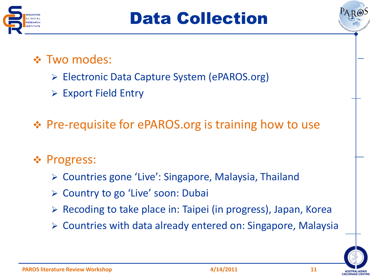



#### Two modes:

- Electronic Data Capture System (ePAROS.org)
- Export Field Entry

Pre-requisite for ePAROS.org is training how to use

#### ❖ Progress:

- Countries gone 'Live': Singapore, Malaysia, Thailand
- **► Country to go 'Live' soon: Dubai**
- ▶ Recoding to take place in: Taipei (in progress), Japan, Korea
- Countries with data already entered on: Singapore, Malaysia

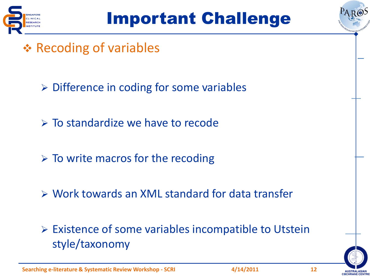



- **❖ Recoding of variables** 
	- $\triangleright$  Difference in coding for some variables
	- $\triangleright$  To standardize we have to recode
	- $\triangleright$  To write macros for the recoding
	- Work towards an XML standard for data transfer
	- Existence of some variables incompatible to Utstein style/taxonomy

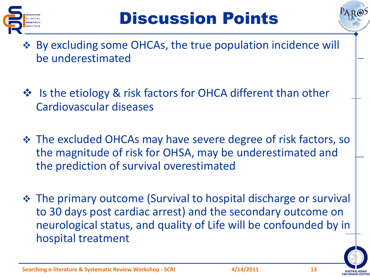



- By excluding some OHCAs, the true population incidence will be underestimated
- ❖ Is the etiology & risk factors for OHCA different than other Cardiovascular diseases
- The excluded OHCAs may have severe degree of risk factors, so the magnitude of risk for OHSA, may be underestimated and the prediction of survival overestimated
- The primary outcome (Survival to hospital discharge or survival to 30 days post cardiac arrest) and the secondary outcome on neurological status, and quality of Life will be confounded by in hospital treatment